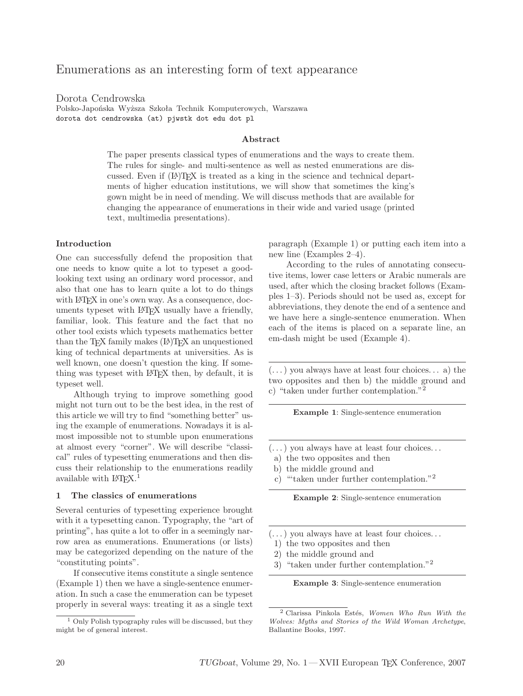# Enumerations as an interesting form of text appearance

Dorota Cendrowska

Polsko-Japońska Wyższa Szkoła Technik Komputerowych, Warszawa dorota dot cendrowska (at) pjwstk dot edu dot pl

### **Abstract**

The paper presents classical types of enumerations and the ways to create them. The rules for single- and multi-sentence as well as nested enumerations are discussed. Even if  $(L)$ T<sub>EX</sub> is treated as a king in the science and technical departments of higher education institutions, we will show that sometimes the king's gown might be in need of mending. We will discuss methods that are available for changing the appearance of enumerations in their wide and varied usage (printed text, multimedia presentations).

#### **Introduction**

One can successfully defend the proposition that one needs to know quite a lot to typeset a goodlooking text using an ordinary word processor, and also that one has to learn quite a lot to do things with LAT<sub>E</sub>X in one's own way. As a consequence, documents typeset with L<sup>A</sup>TEX usually have a friendly, familiar, look. This feature and the fact that no other tool exists which typesets mathematics better than the TEX family makes  $(L)$ TEX an unquestioned king of technical departments at universities. As is well known, one doesn't question the king. If something was typeset with L<sup>A</sup>TEX then, by default, it is typeset well.

Although trying to improve something good might not turn out to be the best idea, in the rest of this article we will try to find "something better" using the example of enumerations. Nowadays it is almost impossible not to stumble upon enumerations at almost every "corner". We will describe "classical" rules of typesetting enumerations and then discuss their relationship to the enumerations readily available with  $LAT$ <sub>EX</sub>.<sup>1</sup>

#### **1 The classics of enumerations**

Several centuries of typesetting experience brought with it a typesetting canon. Typography, the "art of printing", has quite a lot to offer in a seemingly narrow area as enumerations. Enumerations (or lists) may be categorized depending on the nature of the "constituting points".

If consecutive items constitute a single sentence (Example 1) then we have a single-sentence enumeration. In such a case the enumeration can be typeset properly in several ways: treating it as a single text paragraph (Example 1) or putting each item into a new line (Examples 2–4).

According to the rules of annotating consecutive items, lower case letters or Arabic numerals are used, after which the closing bracket follows (Examples 1–3). Periods should not be used as, except for abbreviations, they denote the end of a sentence and we have here a single-sentence enumeration. When each of the items is placed on a separate line, an em-dash might be used (Example 4).

 $(\dots)$  you always have at least four choices... a) the two opposites and then b) the middle ground and c) "taken under further contemplation."<sup>2</sup>

**Example 1**: Single-sentence enumeration

- $(\dots)$  you always have at least four choices...
- a) the two opposites and then
- b) the middle ground and
- c) "'taken under further contemplation."<sup>2</sup>

**Example 2**: Single-sentence enumeration

- $(\dots)$  you always have at least four choices...
- 1) the two opposites and then
- 2) the middle ground and
- 3) "taken under further contemplation."<sup>2</sup>

**Example 3**: Single-sentence enumeration

 $1$  Only Polish typography rules will be discussed, but they might be of general interest.

<sup>&</sup>lt;sup>2</sup> Clarissa Pinkola Estés, *Women Who Run With the Wolves: Myths and Stories of the Wild Woman Archetype*, Ballantine Books, 1997.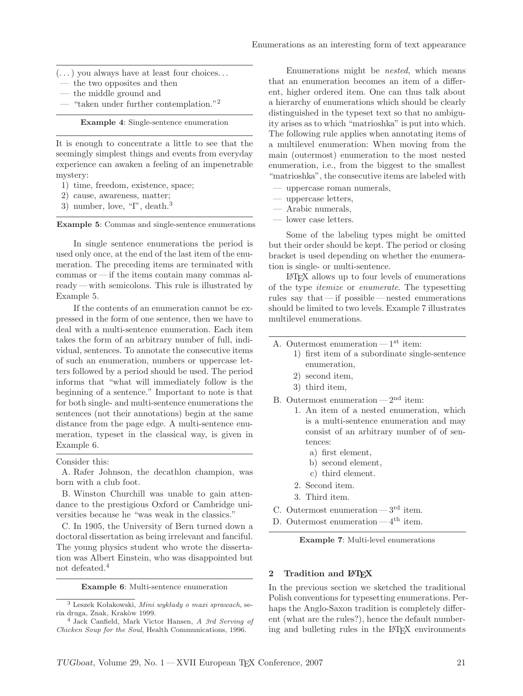- $(\dots)$  you always have at least four choices...
- the two opposites and then
- the middle ground and
- "taken under further contemplation."<sup>2</sup>

**Example 4**: Single-sentence enumeration

It is enough to concentrate a little to see that the seemingly simplest things and events from everyday experience can awaken a feeling of an impenetrable mystery:

- 1) time, freedom, existence, space;
- 2) cause, awareness, matter;
- 3) number, love, "I", death.<sup>3</sup>

**Example 5**: Commas and single-sentence enumerations

In single sentence enumerations the period is used only once, at the end of the last item of the enumeration. The preceding items are terminated with commas or — if the items contain many commas already— with semicolons. This rule is illustrated by Example 5.

If the contents of an enumeration cannot be expressed in the form of one sentence, then we have to deal with a multi-sentence enumeration. Each item takes the form of an arbitrary number of full, individual, sentences. To annotate the consecutive items of such an enumeration, numbers or uppercase letters followed by a period should be used. The period informs that "what will immediately follow is the beginning of a sentence." Important to note is that for both single- and multi-sentence enumerations the sentences (not their annotations) begin at the same distance from the page edge. A multi-sentence enumeration, typeset in the classical way, is given in Example 6.

Consider this:

A. Rafer Johnson, the decathlon champion, was born with a club foot.

B. Winston Churchill was unable to gain attendance to the prestigious Oxford or Cambridge universities because he "was weak in the classics."

C. In 1905, the University of Bern turned down a doctoral dissertation as being irrelevant and fanciful. The young physics student who wrote the dissertation was Albert Einstein, who was disappointed but not defeated.<sup>4</sup>

**Example 6**: Multi-sentence enumeration

Enumerations might be *nested*, which means that an enumeration becomes an item of a different, higher ordered item. One can thus talk about a hierarchy of enumerations which should be clearly distinguished in the typeset text so that no ambiguity arises as to which "matrioshka" is put into which. The following rule applies when annotating items of a multilevel enumeration: When moving from the main (outermost) enumeration to the most nested enumeration, i.e., from the biggest to the smallest "matrioshka", the consecutive items are labeled with

- uppercase roman numerals,
- uppercase letters,
- Arabic numerals,
- lower case letters.

Some of the labeling types might be omitted but their order should be kept. The period or closing bracket is used depending on whether the enumeration is single- or multi-sentence.

L<sup>A</sup>TEX allows up to four levels of enumerations of the type *itemize* or *enumerate*. The typesetting rules say that— if possible — nested enumerations should be limited to two levels. Example 7 illustrates multilevel enumerations.

- A. Outermost enumeration  $-1<sup>st</sup>$  item:
	- 1) first item of a subordinate single-sentence enumeration,
	- 2) second item,
	- 3) third item,
- B. Outermost enumeration  $-2<sup>nd</sup>$  item:
	- 1. An item of a nested enumeration, which is a multi-sentence enumeration and may consist of an arbitrary number of of sentences:
		- a) first element,
		- b) second element,
		- c) third element.
	- 2. Second item.
	- 3. Third item.
- C. Outermost enumeration  $-3^{\text{rd}}$  item.
- D. Outermost enumeration  $-4<sup>th</sup>$  item.

**Example 7**: Multi-level enumerations

### **2 Tradition and L<sup>A</sup>TEX**

In the previous section we sketched the traditional Polish conventions for typesetting enumerations. Perhaps the Anglo-Saxon tradition is completely different (what are the rules?), hence the default numbering and bulleting rules in the L<sup>A</sup>TEX environments

<sup>3</sup> Leszek Kołakowski, *Mini wykłady o maxi sprawach*, seria druga, Znak, Krakòw 1999.

<sup>4</sup> Jack Canfield, Mark Victor Hansen, *A 3rd Serving of Chicken Soup for the Soul*, Health Communications, 1996.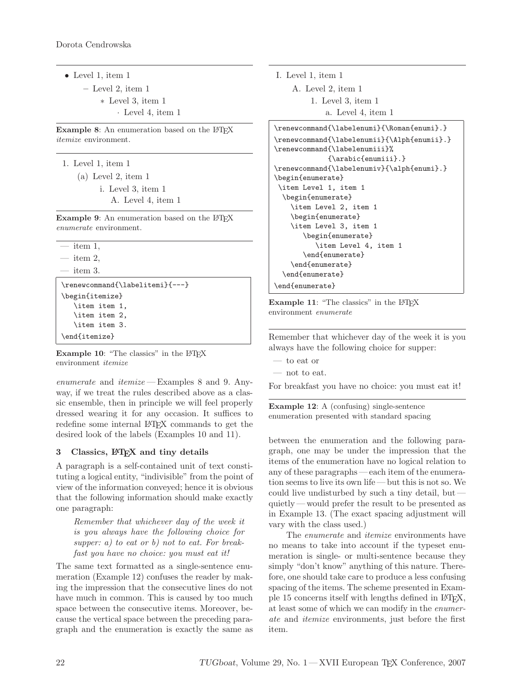*•* Level 1, item 1 **–** Level 2, item 1 ∗ Level 3, item 1 · Level 4, item 1

**Example 8:** An enumeration based on the L<sup>AT</sup>EX *itemize* environment.

- 1. Level 1, item 1
	- (a) Level 2, item 1 i. Level 3, item 1 A. Level 4, item 1

**Example 9**: An enumeration based on the LATEX *enumerate* environment.

```
— item 1,
```
 $-$  item 2.  $-$  item 3.

\end{itemize}

```
\renewcommand{\labelitemi}{---}
\begin{itemize}
   \item item 1,
   \item item 2,
   \item item 3.
```
**Example 10**: "The classics" in the L<sup>A</sup>TEX environment *itemize*

*enumerate* and *itemize* — Examples 8 and 9. Anyway, if we treat the rules described above as a classic ensemble, then in principle we will feel properly dressed wearing it for any occasion. It suffices to redefine some internal L<sup>A</sup>TEX commands to get the desired look of the labels (Examples 10 and 11).

## **3** Classics,  $\text{MTF}X$  and tiny details

A paragraph is a self-contained unit of text constituting a logical entity, "indivisible" from the point of view of the information conveyed; hence it is obvious that the following information should make exactly one paragraph:

*Remember that whichever day of the week it is you always have the following choice for supper: a) to eat or b) not to eat. For breakfast you have no choice: you must eat it!*

The same text formatted as a single-sentence enumeration (Example 12) confuses the reader by making the impression that the consecutive lines do not have much in common. This is caused by too much space between the consecutive items. Moreover, because the vertical space between the preceding paragraph and the enumeration is exactly the same as I. Level 1, item 1 A. Level 2, item 1 1. Level 3, item 1 a. Level 4, item 1

```
\renewcommand{\labelenumi}{\Roman{enumi}.}
\renewcommand{\labelenumii}{\Alph{enumii}.}
\renewcommand{\labelenumiii}%
             {\arabic{enumiii}.}
\renewcommand{\labelenumiv}{\alph{enumi}.}
\begin{enumerate}
\item Level 1, item 1
  \begin{enumerate}
    \item Level 2, item 1
    \begin{enumerate}
    \item Level 3, item 1
       \begin{enumerate}
          \item Level 4, item 1
       \end{enumerate}
    \end{enumerate}
  \end{enumerate}
\end{enumerate}
```
**Example 11:** "The classics" in the LAT<sub>E</sub>X environment *enumerate*

Remember that whichever day of the week it is you always have the following choice for supper:

- to eat or
- not to eat.

For breakfast you have no choice: you must eat it!

**Example 12**: A (confusing) single-sentence enumeration presented with standard spacing

between the enumeration and the following paragraph, one may be under the impression that the items of the enumeration have no logical relation to any of these paragraphs — each item of the enumeration seems to live its own life — but this is not so. We could live undisturbed by such a tiny detail, but quietly— would prefer the result to be presented as in Example 13. (The exact spacing adjustment will vary with the class used.)

The *enumerate* and *itemize* environments have no means to take into account if the typeset enumeration is single- or multi-sentence because they simply "don't know" anything of this nature. Therefore, one should take care to produce a less confusing spacing of the items. The scheme presented in Example 15 concerns itself with lengths defined in L<sup>A</sup>TEX, at least some of which we can modify in the *enumerate* and *itemize* environments, just before the first item.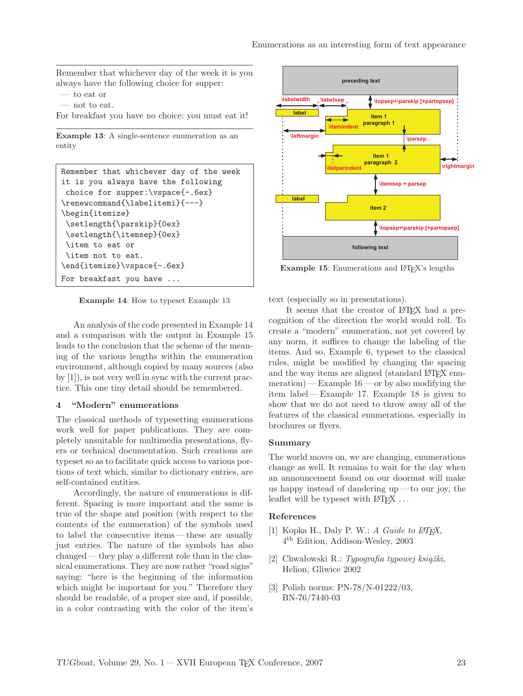Remember that whichever day of the week it is you always have the following choice for supper:

- to eat or
- not to eat.
- For breakfast you have no choice: you must eat it!

**Example 13**: A single-sentence enumeration as an entity

```
Remember that whichever day of the week
it is you always have the following
choice for supper:\vspace{-.6ex}
\renewcommand{\labelitemi}{---}
\begin{itemize}
\setlength{\parskip}{0ex}
\setlength{\itemsep}{0ex}
 \item to eat or
\item not to eat.
\end{itemize}\vspace{-.6ex}
For breakfast you have ...
```
**Example 14**: How to typeset Example 13

An analysis of the code presented in Example 14 and a comparison with the output in Example 15 leads to the conclusion that the scheme of the meaning of the various lengths within the enumeration environment, although copied by many sources (also by [1]), is not very well in sync with the current practice. This one tiny detail should be remembered.

### **4 "Modern" enumerations**

The classical methods of typesetting enumerations work well for paper publications. They are completely unsuitable for multimedia presentations, flyers or technical documentation. Such creations are typeset so as to facilitate quick access to various portions of text which, similar to dictionary entries, are self-contained entities.

Accordingly, the nature of enumerations is different. Spacing is more important and the same is true of the shape and position (with respect to the contents of the enumeration) of the symbols used to label the consecutive items— these are usually just entries. The nature of the symbols has also changed — they play a different role than in the classical enumerations. They are now rather "road signs" saying: "here is the beginning of the information which might be important for you." Therefore they should be readable, of a proper size and, if possible, in a color contrasting with the color of the item's



**Example 15:** Enumerations and L<sup>AT</sup>EX's lengths

text (especially so in presentations).

It seems that the creator of LAT<sub>EX</sub> had a precognition of the direction the world would roll. To create a "modern" enumeration, not yet covered by any norm, it suffices to change the labeling of the items. And so, Example 6, typeset to the classical rules, might be modified by changing the spacing and the way items are aligned (standard LAT<sub>EX</sub> enumeration) — Example  $16$  — or by also modifying the item label— Example 17. Example 18 is given to show that we do not need to throw away all of the features of the classical enumerations, especially in brochures or flyers.

### **Summary**

The world moves on, we are changing, enumerations change as well. It remains to wait for the day when an announcement found on our doormat will make us happy instead of dandering up — to our joy, the leaflet will be typeset with  $\text{BTr}X \ldots$ 

#### **References**

- [1] Kopka H., Daly P. W.: *A Guide to L<sup>A</sup>TEX*, 4 th Edition, Addison-Wesley, 2003
- [2] Chwałowski R.: *Typografia typowej książki*, Helion, Gliwice 2002
- [3] Polish norms: PN-78/N-01222/03, BN-76/7440-03